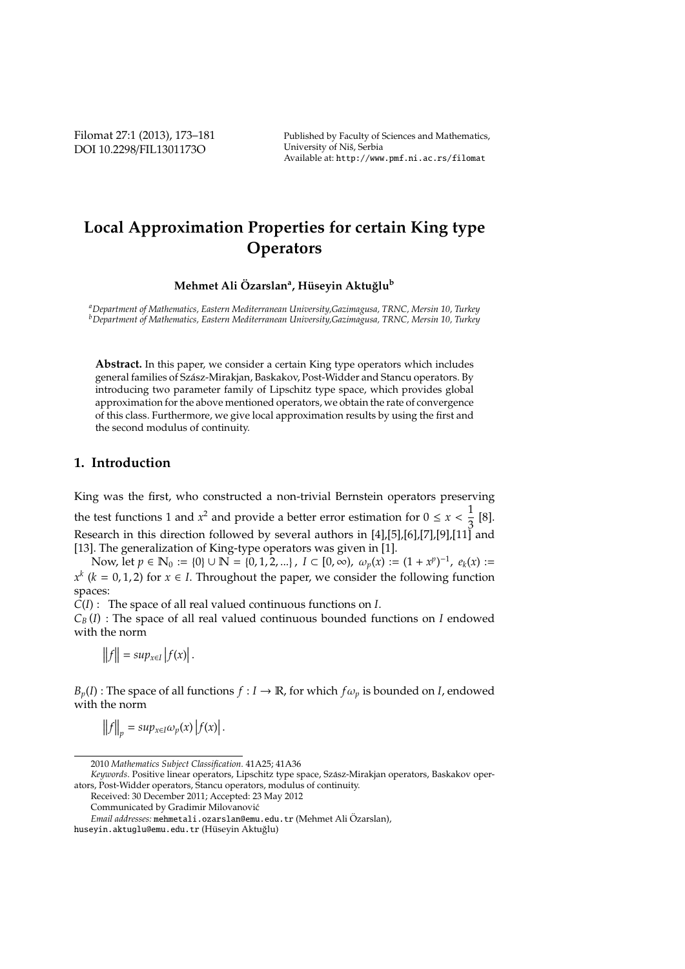Filomat 27:1 (2013), 173–181 DOI 10.2298/FIL1301173O

Published by Faculty of Sciences and Mathematics, University of Niš, Serbia Available at: http://www.pmf.ni.ac.rs/filomat

# **Local Approximation Properties for certain King type Operators**

**Mehmet Ali Ozarslan ¨ <sup>a</sup> , H ¨useyin Aktu ˘glu<sup>b</sup>**

*<sup>a</sup>Department of Mathematics, Eastern Mediterranean University,Gazimagusa, TRNC, Mersin 10, Turkey <sup>b</sup>Department of Mathematics, Eastern Mediterranean University,Gazimagusa, TRNC, Mersin 10, Turkey*

**Abstract.** In this paper, we consider a certain King type operators which includes general families of Szasz-Mirakjan, Baskakov, Post-Widder and Stancu operators. By ´ introducing two parameter family of Lipschitz type space, which provides global approximation for the above mentioned operators, we obtain the rate of convergence of this class. Furthermore, we give local approximation results by using the first and the second modulus of continuity.

### **1. Introduction**

King was the first, who constructed a non-trivial Bernstein operators preserving the test functions 1 and  $x^2$  and provide a better error estimation for  $0 \le x < \frac{1}{2}$  $\frac{1}{3}$  [8]. Research in this direction followed by several authors in [4],[5],[6],[7],[9],[11] and [13]. The generalization of King-type operators was given in [1].

Now, let *p* ∈  $\mathbb{N}_0 := \{0\} \cup \mathbb{N} = \{0, 1, 2, ...\}$ , *I* ⊂  $[0, \infty)$ ,  $\omega_p(x) := (1 + x^p)^{-1}$ ,  $e_k(x) :=$  $x^k$  ( $k = 0, 1, 2$ ) for  $x \in I$ . Throughout the paper, we consider the following function spaces:

*C*(*I*) : The space of all real valued continuous functions on *I*.

 $C_B(I)$ : The space of all real valued continuous bounded functions on *I* endowed with the norm

 $||f|| = \sup_{x \in I} |f(x)|$ .

 $B_p(I)$ : The space of all functions  $f: I \to \mathbb{R}$ , for which  $f\omega_p$  is bounded on *I*, endowed with the norm

 $||f||_p = \sup_{x \in I} \omega_p(x) |f(x)|$ .

<sup>2010</sup> *Mathematics Subject Classification*. 41A25; 41A36

*Keywords*. Positive linear operators, Lipschitz type space, Szasz-Mirakjan operators, Baskakov oper- ´ ators, Post-Widder operators, Stancu operators, modulus of continuity.

Received: 30 December 2011; Accepted: 23 May 2012

Communicated by Gradimir Milovanovic´

*Email addresses:* mehmetali.ozarslan@emu.edu.tr (Mehmet Ali Ozarslan), ¨

huseyin.aktuglu@emu.edu.tr (Hüseyin Aktuğlu)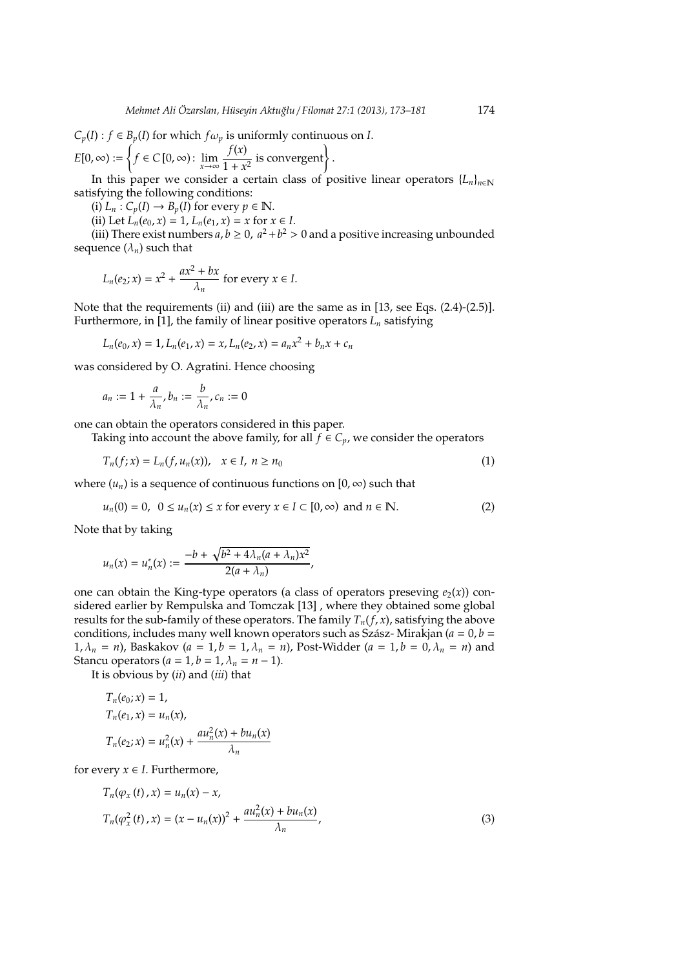$$
C_p(I) : f \in B_p(I) \text{ for which } f \omega_p \text{ is uniformly continuous on } I.
$$
  

$$
E[0, \infty) := \left\{ f \in C[0, \infty) : \lim_{x \to \infty} \frac{f(x)}{1 + x^2} \text{ is convergent} \right\}.
$$

In this paper we consider a certain class of positive linear operators  ${L_n}_{n \in \mathbb{N}}$ satisfying the following conditions:

(i)  $L_n$  :  $C_p(I) \rightarrow B_p(I)$  for every  $p \in \mathbb{N}$ .

(ii) Let  $L_n(e_0, x) = 1$ ,  $L_n(e_1, x) = x$  for  $x \in I$ .

(iii) There exist numbers  $a, b \ge 0$ ,  $a^2 + b^2 > 0$  and a positive increasing unbounded sequence  $(\lambda_n)$  such that

$$
L_n(e_2; x) = x^2 + \frac{ax^2 + bx}{\lambda_n}
$$
 for every  $x \in I$ .

Note that the requirements (ii) and (iii) are the same as in [13, see Eqs. (2.4)-(2.5)]. Furthermore, in [1], the family of linear positive operators  $L_n$  satisfying

$$
L_n(e_0, x) = 1, L_n(e_1, x) = x, L_n(e_2, x) = a_n x^2 + b_n x + c_n
$$

was considered by O. Agratini. Hence choosing

$$
a_n := 1 + \frac{a}{\lambda_n}, b_n := \frac{b}{\lambda_n}, c_n := 0
$$

one can obtain the operators considered in this paper.

Taking into account the above family, for all  $\bar{f} \in C_p$ , we consider the operators

$$
T_n(f; x) = L_n(f, u_n(x)), \quad x \in I, \ n \ge n_0
$$
\n(1)

where  $(u_n)$  is a sequence of continuous functions on  $[0, \infty)$  such that

$$
u_n(0) = 0, \ \ 0 \le u_n(x) \le x \text{ for every } x \in I \subset [0, \infty) \text{ and } n \in \mathbb{N}.
$$

Note that by taking

$$
u_n(x)=u_n^*(x):=\frac{-b+\sqrt{b^2+4\lambda_n(a+\lambda_n)x^2}}{2(a+\lambda_n)},
$$

one can obtain the King-type operators (a class of operators preseving  $e_2(x)$ ) considered earlier by Rempulska and Tomczak [13] , where they obtained some global results for the sub-family of these operators. The family  $T_n(f, x)$ , satisfying the above conditions, includes many well known operators such as Szász-Mirakjan ( $a = 0$ ,  $b =$ 1,  $\lambda_n = n$ , Baskakov (*a* = 1, *b* = 1,  $\lambda_n = n$ ), Post-Widder (*a* = 1, *b* = 0,  $\lambda_n = n$ ) and Stancu operators  $(a = 1, b = 1, \lambda_n = n - 1)$ .

It is obvious by (*ii*) and (*iii*) that

$$
T_n(e_0; x) = 1,
$$
  
\n
$$
T_n(e_1, x) = u_n(x),
$$
  
\n
$$
T_n(e_2; x) = u_n^2(x) + \frac{au_n^2(x) + bu_n(x)}{\lambda_n}
$$

for every  $x \in I$ . Furthermore,

$$
T_n(\varphi_x(t), x) = u_n(x) - x,
$$
  
\n
$$
T_n(\varphi_x^2(t), x) = (x - u_n(x))^2 + \frac{au_n^2(x) + bu_n(x)}{\lambda_n},
$$
\n(3)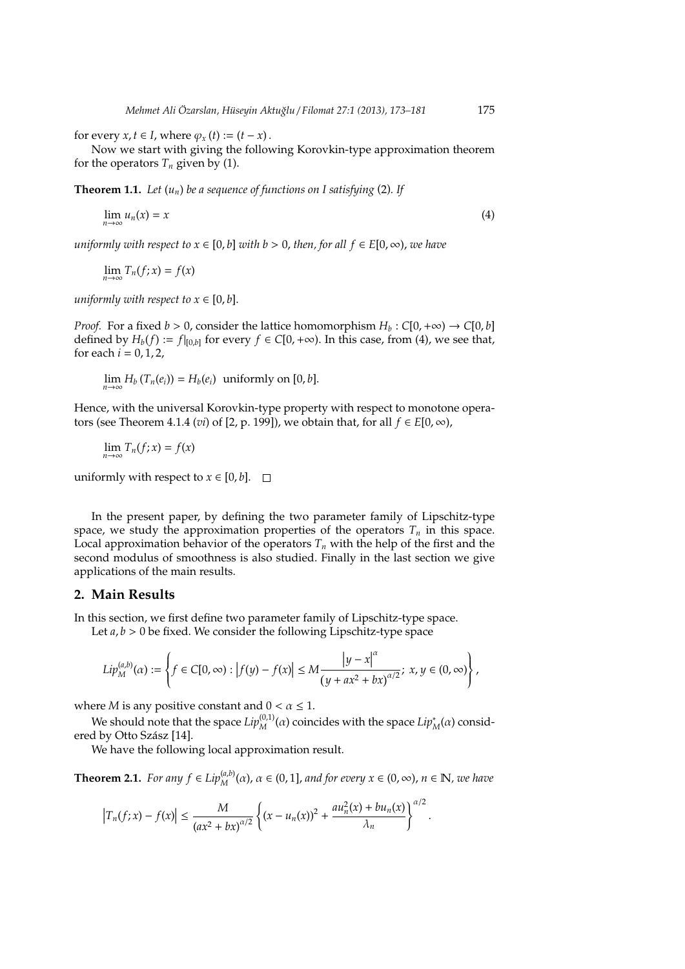for every  $x, t \in I$ , where  $\varphi_x(t) := (t - x)$ .

Now we start with giving the following Korovkin-type approximation theorem for the operators  $T_n$  given by (1).

**Theorem 1.1.** *Let* (*un*) *be a sequence of functions on I satisfying* (2)*. If*

$$
\lim_{n \to \infty} u_n(x) = x \tag{4}
$$

*uniformly with respect to*  $x \in [0, b]$  *with*  $b > 0$ , *then, for all*  $f \in E[0, \infty)$ , *we have* 

$$
\lim_{n\to\infty}T_n(f;x)=f(x)
$$

*uniformly with respect to*  $x \in [0, b]$ .

*Proof.* For a fixed  $b > 0$ , consider the lattice homomorphism  $H_b : C[0, +\infty) \rightarrow C[0, b]$ defined by  $H_b(f) := f|_{[0,b]}$  for every  $f \in C[0,+\infty)$ . In this case, from (4), we see that, for each  $i = 0, 1, 2$ ,

 $\lim_{n\to\infty} H_b(T_n(e_i)) = H_b(e_i)$  uniformly on [0, *b*].

Hence, with the universal Korovkin-type property with respect to monotone operators (see Theorem 4.1.4 (*vi*) of [2, p. 199]), we obtain that, for all  $f \in E[0, \infty)$ ,

 $\lim_{n\to\infty}T_n(f; x)=f(x)$ 

uniformly with respect to  $x \in [0, b]$ .  $\Box$ 

In the present paper, by defining the two parameter family of Lipschitz-type space, we study the approximation properties of the operators  $T<sub>n</sub>$  in this space. Local approximation behavior of the operators  $T<sub>n</sub>$  with the help of the first and the second modulus of smoothness is also studied. Finally in the last section we give applications of the main results.

#### **2. Main Results**

In this section, we first define two parameter family of Lipschitz-type space.

Let *a*, *b* > 0 be fixed. We consider the following Lipschitz-type space

$$
Lip_M^{(a,b)}(\alpha):=\left\{f\in C[0,\infty):\left|f(y)-f(x)\right|\leq M\frac{\left|y-x\right|^{\alpha}}{\left(y+ax^2+bx\right)^{\alpha/2}};\;x,y\in (0,\infty)\right\},
$$

where *M* is any positive constant and  $0 < \alpha \leq 1$ .

We should note that the space  $Lip_M^{(0,1)}(\alpha)$  coincides with the space  $Lip_M^*(\alpha)$  considered by Otto Szász [14].

We have the following local approximation result.

**Theorem 2.1.** *For any f*  $\in Lip_M^{(a,b)}(\alpha)$ ,  $\alpha \in (0,1]$ , *and for every*  $x \in (0,\infty)$ ,  $n \in \mathbb{N}$ , *we have* 

$$
\left|T_n(f;x)-f(x)\right|\leq \frac{M}{\left(ax^2+bx\right)^{\alpha/2}}\left\{(x-u_n(x))^2+\frac{au_n^2(x)+bu_n(x)}{\lambda_n}\right\}^{\alpha/2}.
$$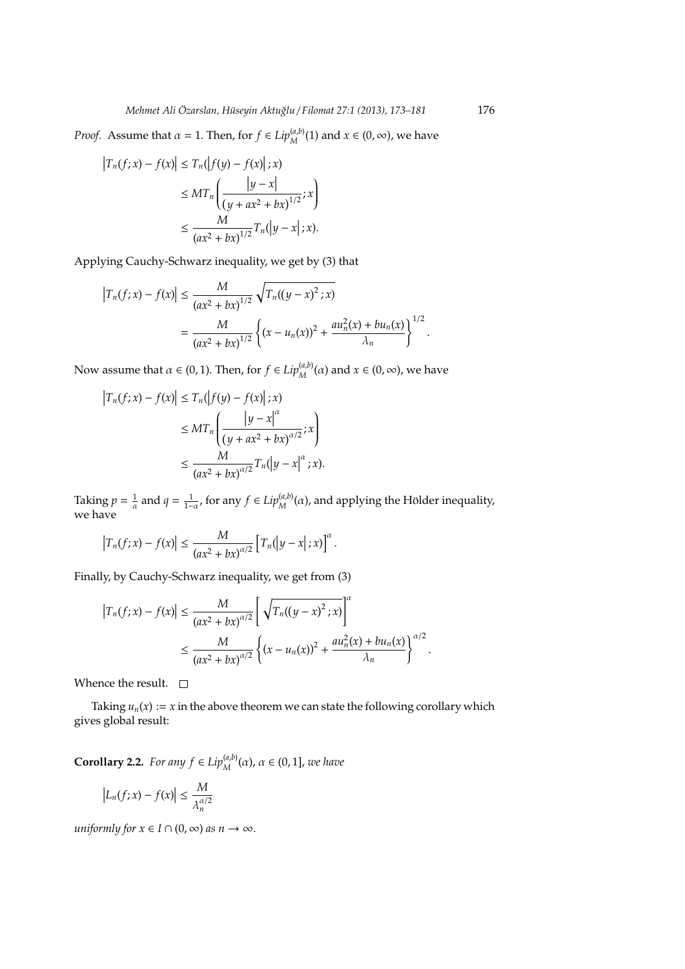*Proof.* Assume that  $\alpha = 1$ . Then, for  $f \in Lip_M^{(a,b)}(1)$  and  $x \in (0, \infty)$ , we have

$$
\begin{aligned} \left|T_n(f;x) - f(x)\right| &\le T_n(\left|f(y) - f(x)\right|;x) \\ &\le MT_n\left(\frac{|y - x|}{(y + ax^2 + bx)^{1/2}};x\right) \\ &\le \frac{M}{(ax^2 + bx)^{1/2}}T_n(\left|y - x\right|;x). \end{aligned}
$$

Applying Cauchy-Schwarz inequality, we get by (3) that

$$
\left|T_n(f;x) - f(x)\right| \le \frac{M}{(ax^2 + bx)^{1/2}} \sqrt{T_n((y-x)^2; x)}
$$
  
= 
$$
\frac{M}{(ax^2 + bx)^{1/2}} \left\{ (x - u_n(x))^2 + \frac{au_n^2(x) + bu_n(x)}{\lambda_n} \right\}^{1/2}.
$$

Now assume that  $\alpha \in (0, 1)$ . Then, for  $f \in Lip_M^{(a,b)}(\alpha)$  and  $x \in (0, \infty)$ , we have

$$
\begin{aligned} \left|T_n(f;x) - f(x)\right| &\le T_n(\left|f(y) - f(x)\right|;x) \\ &\le MT_n\left(\frac{\left|y - x\right|^{\alpha}}{(y + ax^2 + bx)^{\alpha/2}};x\right) \\ &\le \frac{M}{\left(ax^2 + bx\right)^{\alpha/2}}T_n(\left|y - x\right|^{\alpha};x). \end{aligned}
$$

Taking  $p = \frac{1}{\alpha}$  and  $q = \frac{1}{1-\alpha}$ , for any  $f \in Lip_M^{(a,b)}(\alpha)$ , and applying the Hölder inequality, we have

$$
\left|T_n(f;x)-f(x)\right|\leq \frac{M}{\left(ax^2+bx\right)^{\alpha/2}}\left[T_n\left(|y-x|;x\right)\right]^{\alpha}.
$$

Finally, by Cauchy-Schwarz inequality, we get from (3)

$$
\begin{aligned} \left|T_n(f;x) - f(x)\right| &\leq \frac{M}{(ax^2 + bx)^{\alpha/2}} \left[\sqrt{T_n((y-x)^2 \,; x)}\right]^{\alpha} \\ &\leq \frac{M}{(ax^2 + bx)^{\alpha/2}} \left\{ (x - u_n(x))^2 + \frac{au_n^2(x) + bu_n(x)}{\lambda_n} \right\}^{\alpha/2} .\end{aligned}
$$

Whence the result.  $\square$ 

Taking  $u_n(x) := x$  in the above theorem we can state the following corollary which gives global result:

**Corollary 2.2.** *For any*  $f \in Lip_M^{(a,b)}(\alpha)$ ,  $\alpha \in (0,1]$ , *we have* 

$$
\left|L_n(f;x)-f(x)\right|\leq \frac{M}{\lambda_n^{\alpha/2}}
$$

*uniformly for*  $x \in I \cap (0, \infty)$  *as*  $n \to \infty$ .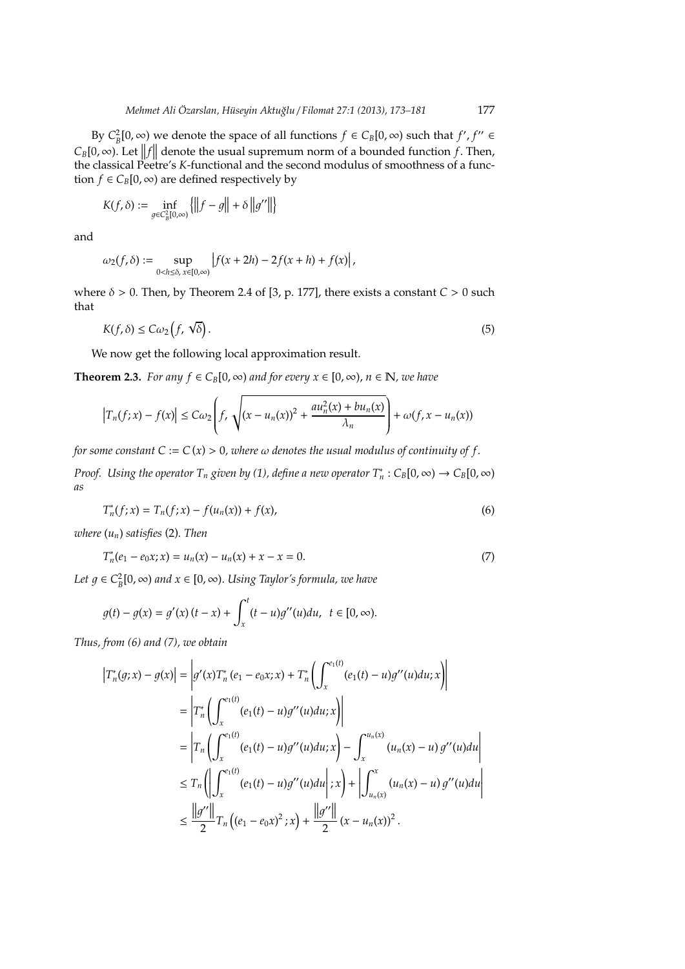By  $C_B^2[0, \infty)$  we denote the space of all functions  $f \in C_B[0, \infty)$  such that  $f', f'' \in$  $C_B[0,\infty)$ . Let  $||f||$  denote the usual supremum norm of a bounded function *f*. Then, the classical Pootro's *K*-functional and the second modulus of smoothness of a functhe classical Peetre's *K*-functional and the second modulus of smoothness of a function  $f \in C_B[0, \infty)$  are defined respectively by

$$
K(f,\delta) := \inf_{g \in C_B^2[0,\infty)} \left\{ \left\| f - g \right\| + \delta \left\| g'' \right\| \right\}
$$

and

$$
\omega_2(f,\delta):=\sup_{0
$$

where  $\delta > 0$ . Then, by Theorem 2.4 of [3, p. 177], there exists a constant  $C > 0$  such that

$$
K(f,\delta) \le C\omega_2\left(f,\sqrt{\delta}\right). \tag{5}
$$

We now get the following local approximation result.

**Theorem 2.3.** *For any*  $f \in C_B[0, \infty)$  *and for every*  $x \in [0, \infty)$ ,  $n \in \mathbb{N}$ , *we have* 

$$
\left|T_n(f;x)-f(x)\right|\leq C\omega_2\left(f,\sqrt{(x-u_n(x))^2+\frac{au_n^2(x)+bu_n(x)}{\lambda_n}}\right)+\omega(f,x-u_n(x))
$$

*for some constant*  $C := C(x) > 0$ *, where*  $\omega$  *denotes the usual modulus of continuity of f.* 

*Proof.* Using the operator  $T_n$  given by (1), define a new operator  $T_n^*: C_B[0,\infty) \to C_B[0,\infty)$ *as*

$$
T_n^*(f; x) = T_n(f; x) - f(u_n(x)) + f(x),
$$
\n(6)

*where* (*un*) *satisfies* (2)*. Then*

$$
T_n^*(e_1 - e_0 x; x) = u_n(x) - u_n(x) + x - x = 0.
$$
\n(7)

*Let*  $g \in C_B^2[0, ∞)$  and  $x \in [0, ∞)$ . *Using Taylor's formula, we have* 

$$
g(t) - g(x) = g'(x)(t - x) + \int_x^t (t - u)g''(u)du, \ \ t \in [0, \infty).
$$

*Thus, from (6) and (7), we obtain*

$$
\begin{split}\n\left|T_{n}^{*}(g;x)-g(x)\right| &= \left|g'(x)T_{n}^{*}(e_{1}-e_{0}x;x)+T_{n}^{*}\left(\int_{x}^{e_{1}(t)}(e_{1}(t)-u)g''(u)du;x\right)\right| \\
&= \left|T_{n}^{*}\left(\int_{x}^{e_{1}(t)}(e_{1}(t)-u)g''(u)du;x\right)\right| \\
&= \left|T_{n}\left(\int_{x}^{e_{1}(t)}(e_{1}(t)-u)g''(u)du;x\right)-\int_{x}^{u_{n}(x)}(u_{n}(x)-u)g''(u)du\right| \\
&\leq T_{n}\left(\left|\int_{x}^{e_{1}(t)}(e_{1}(t)-u)g''(u)du\right|;x\right)+\left|\int_{u_{n}(x)}^{x}(u_{n}(x)-u)g''(u)du\right| \\
&\leq \frac{\left|\left|g''\right|\right|}{2}T_{n}\left((e_{1}-e_{0}x)^{2};x\right)+\frac{\left|\left|g''\right|\right|}{2}(x-u_{n}(x))^{2}.\n\end{split}
$$

I I  $\overline{\phantom{a}}$ 1 I ľ

 $\mathsf I$  $\overline{\phantom{a}}$  $\overline{\phantom{a}}$  $\overline{\phantom{a}}$  $\overline{\phantom{a}}$ ľ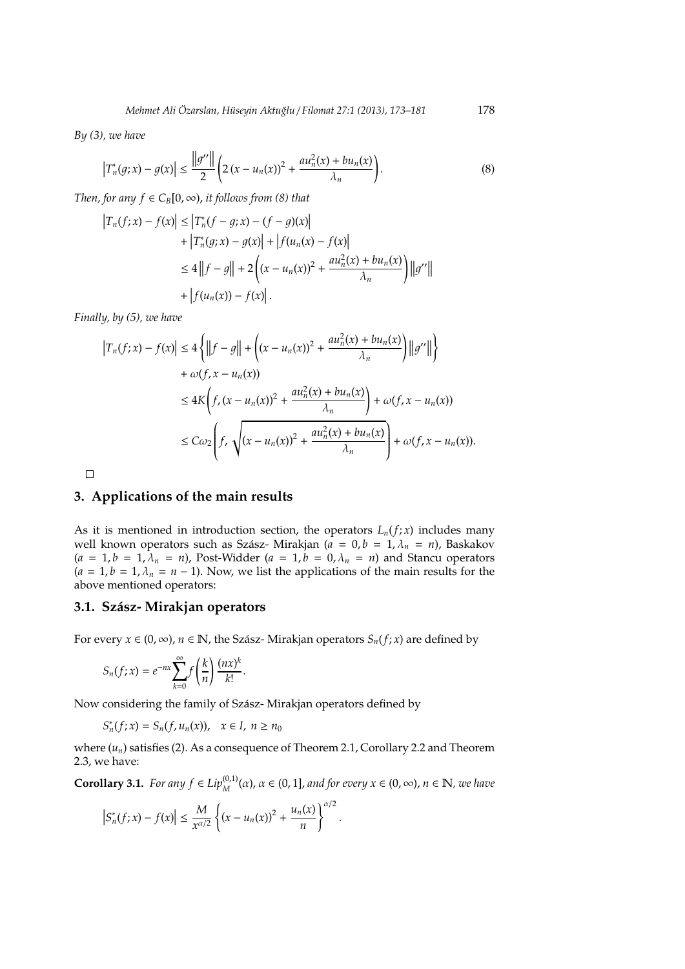*By (3), we have*

$$
\left|T_n^*(g; x) - g(x)\right| \le \frac{\|g''\|}{2} \left(2\left(x - u_n(x)\right)^2 + \frac{au_n^2(x) + bu_n(x)}{\lambda_n}\right).
$$
 (8)

*Then, for any*  $f \in C_B[0, \infty)$ *, it follows from (8) that* 

$$
\begin{aligned} \left|T_n(f;x) - f(x)\right| &\le \left|T_n^*(f - g; x) - (f - g)(x)\right| \\ &+ \left|T_n^*(g; x) - g(x)\right| + \left|f(u_n(x) - f(x)\right| \\ &\le 4 \left\|f - g\right\| + 2\left((x - u_n(x))^2 + \frac{au_n^2(x) + bu_n(x)}{\lambda_n}\right) \left\|g''\right\| \\ &+ \left|f(u_n(x)) - f(x)\right|. \end{aligned}
$$

*Finally, by (5), we have*

$$
\begin{aligned} \left|T_n(f;x) - f(x)\right| &\le 4\left\{\left\|f - g\right\| + \left((x - u_n(x))^2 + \frac{au_n^2(x) + bu_n(x)}{\lambda_n}\right)\left\|g''\right\|\right\} \\ &+ \omega(f,x - u_n(x)) \\ &\le 4K\left(f,(x - u_n(x))^2 + \frac{au_n^2(x) + bu_n(x)}{\lambda_n}\right) + \omega(f,x - u_n(x)) \\ &\le C\omega_2\left(f,\sqrt{(x - u_n(x))^2 + \frac{au_n^2(x) + bu_n(x)}{\lambda_n}}\right) + \omega(f,x - u_n(x)). \end{aligned}
$$

 $\Box$ 

#### **3. Applications of the main results**

As it is mentioned in introduction section, the operators  $L_n(f; x)$  includes many well known operators such as Szász- Mirakjan ( $\overline{a} = 0, b = 1, \lambda_n = n$ ), Baskakov  $(a = 1, b = 1, \lambda_n = n)$ , Post-Widder  $(a = 1, b = 0, \lambda_n = n)$  and Stancu operators  $(a = 1, b = 1, \lambda_n = n - 1)$ . Now, we list the applications of the main results for the above mentioned operators:

#### **3.1. Sz´asz- Mirakjan operators**

For every  $x \in (0, \infty)$ ,  $n \in \mathbb{N}$ , the Szász-Mirakjan operators  $S_n(f; x)$  are defined by

$$
S_n(f; x) = e^{-nx} \sum_{k=0}^{\infty} f\left(\frac{k}{n}\right) \frac{(nx)^k}{k!}.
$$

Now considering the family of Szász-Mirakjan operators defined by

$$
S_n^*(f;x)=S_n(f,u_n(x)),\quad x\in I,\; n\geq n_0
$$

where  $(u_n)$  satisfies (2). As a consequence of Theorem 2.1, Corollary 2.2 and Theorem 2.3, we have:

**Corollary 3.1.** *For any*  $f \in Lip_M^{(0,1)}(\alpha)$ ,  $\alpha \in (0,1]$ , *and for every*  $x \in (0,\infty)$ ,  $n \in \mathbb{N}$ , *we have* 

$$
\left|S_n^*(f;x) - f(x)\right| \le \frac{M}{x^{\alpha/2}} \left\{ (x - u_n(x))^2 + \frac{u_n(x)}{n} \right\}^{\alpha/2}.
$$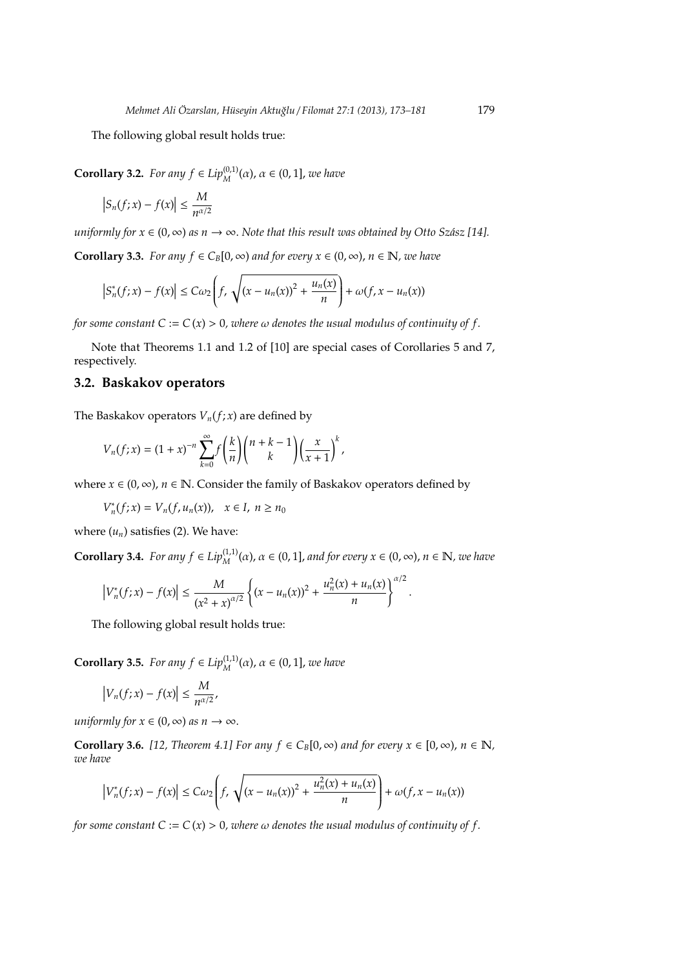The following global result holds true:

**Corollary 3.2.** *For any*  $f \in Lip_M^{(0,1)}(\alpha)$ ,  $\alpha \in (0,1]$ , *we have* 

$$
\left|S_n(f;x)-f(x)\right|\leq \frac{M}{n^{\alpha/2}}
$$

*uniformly for*  $x \in (0, \infty)$  *as*  $n \to \infty$ . *Note that this result was obtained by Otto Szász* [14].

**Corollary 3.3.** *For any*  $f \in C_B[0, \infty)$  *and for every*  $x \in (0, \infty)$ ,  $n \in \mathbb{N}$ , *we have* 

$$
\left|S_n^*(f;x)-f(x)\right|\leq C\omega_2\left(f,\sqrt{(x-u_n(x))^2+\frac{u_n(x)}{n}}\right)+\omega(f,x-u_n(x))
$$

*for some constant*  $C := C(x) > 0$ *, where*  $\omega$  *denotes the usual modulus of continuity of f.* 

Note that Theorems 1.1 and 1.2 of [10] are special cases of Corollaries 5 and 7, respectively.

## **3.2. Baskakov operators**

The Baskakov operators  $V_n(f; x)$  are defined by

$$
V_n(f;x) = (1+x)^{-n} \sum_{k=0}^{\infty} f\left(\frac{k}{n}\right) {n+k-1 \choose k} \left(\frac{x}{x+1}\right)^k,
$$

where *x* ∈ (0, ∞), *n* ∈ N. Consider the family of Baskakov operators defined by

*V*<sup>\*</sup><sub>*n*</sub>(*f*; *x*) = *V*<sub>*n*</sub>(*f*, *u*<sub>*n*</sub>(*x*)), *x* ∈ *I*, *n* ≥ *n*<sub>0</sub>

where  $(u_n)$  satisfies (2). We have:

**Corollary 3.4.** *For any*  $f \in Lip_M^{(1,1)}(\alpha)$ ,  $\alpha \in (0,1]$ , *and for every*  $x \in (0,\infty)$ ,  $n \in \mathbb{N}$ , *we have* 

$$
\left|V_n^*(f;x)-f(x)\right|\leq \frac{M}{(x^2+x)^{\alpha/2}}\left\{(x-u_n(x))^2+\frac{u_n^2(x)+u_n(x)}{n}\right\}^{\alpha/2}.
$$

The following global result holds true:

**Corollary 3.5.** *For any*  $f \in Lip_M^{(1,1)}(\alpha)$ ,  $\alpha \in (0,1]$ , *we have* 

$$
\left|V_n(f;x)-f(x)\right|\leq \frac{M}{n^{\alpha/2}},
$$

*uniformly for*  $x \in (0, \infty)$  *as*  $n \to \infty$ .

**Corollary 3.6.** *[12, Theorem 4.1] For any*  $f \in C_B[0, \infty)$  *and for every*  $x \in [0, \infty)$ ,  $n \in \mathbb{N}$ , *we have*

$$
\left|V_n^*(f;x)-f(x)\right|\leq C\omega_2\left(f,\sqrt{(x-u_n(x))^2+\frac{u_n^2(x)+u_n(x)}{n}}\right)+\omega(f,x-u_n(x))
$$

*for some constant*  $C := C(x) > 0$ *, where*  $\omega$  *denotes the usual modulus of continuity of f.*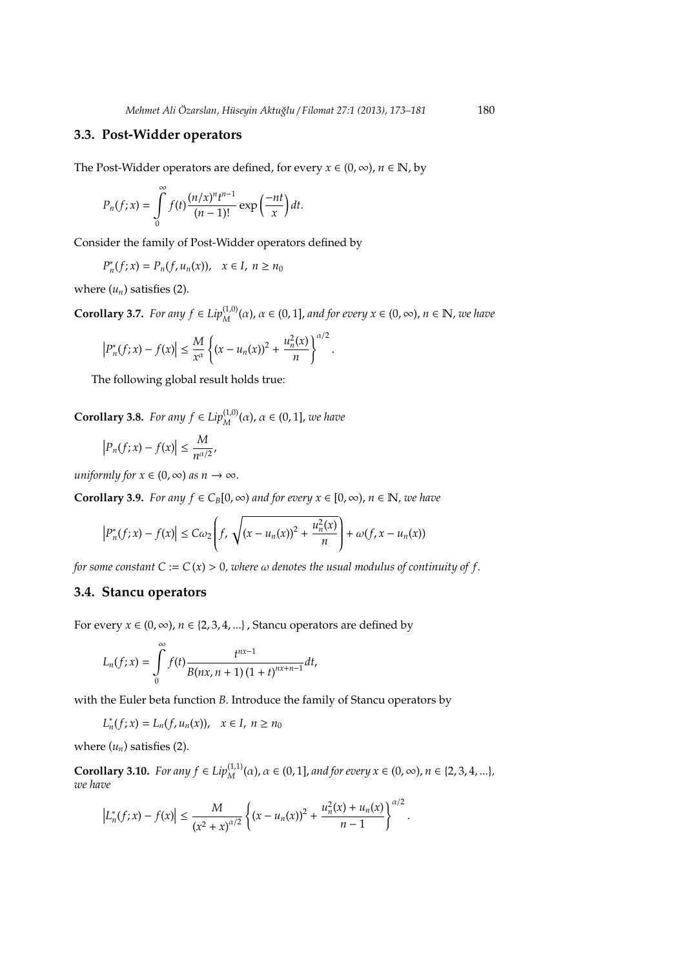#### **3.3. Post-Widder operators**

The Post-Widder operators are defined, for every  $x \in (0, \infty)$ ,  $n \in \mathbb{N}$ , by

$$
P_n(f; x) = \int\limits_0^\infty f(t) \frac{(n/x)^n t^{n-1}}{(n-1)!} \exp\left(\frac{-nt}{x}\right) dt.
$$

Consider the family of Post-Widder operators defined by

 $P_n^*(f; x) = P_n(f, u_n(x)), \quad x \in I, \ n \ge n_0$ 

where  $(u_n)$  satisfies  $(2)$ .

**Corollary 3.7.** *For any*  $f \in Lip_M^{(1,0)}(\alpha)$ ,  $\alpha \in (0,1]$ , *and for every*  $x \in (0,\infty)$ ,  $n \in \mathbb{N}$ , *we have* 

$$
\left|P_n^*(f;x) - f(x)\right| \le \frac{M}{x^{\alpha}} \left\{ (x - u_n(x))^2 + \frac{u_n^2(x)}{n} \right\}^{\alpha/2}.
$$

The following global result holds true:

**Corollary 3.8.** *For any*  $f \in Lip_M^{(1,0)}(\alpha)$ ,  $\alpha \in (0,1]$ , *we have* 

$$
\left|P_n(f;x)-f(x)\right|\leq \frac{M}{n^{\alpha/2}},
$$

*uniformly for*  $x \in (0, \infty)$  *as*  $n \to \infty$ .

**Corollary 3.9.** *For any*  $f \in C_B[0, \infty)$  *and for every*  $x \in [0, \infty)$ ,  $n \in \mathbb{N}$ , *we have* 

$$
\left|P_n^*(f;x)-f(x)\right|\leq C\omega_2\left(f,\sqrt{(x-u_n(x))^2+\frac{u_n^2(x)}{n}}\right)+\omega(f,x-u_n(x))
$$

*for some constant*  $C := C(x) > 0$ *, where*  $\omega$  *denotes the usual modulus of continuity of f.* 

#### **3.4. Stancu operators**

For every  $x \in (0, \infty)$ ,  $n \in \{2, 3, 4, ...\}$ , Stancu operators are defined by

$$
L_n(f; x) = \int\limits_0^\infty f(t) \frac{t^{nx-1}}{B(nx, n + 1) (1 + t)^{nx+n-1}} dt,
$$

with the Euler beta function *B*. Introduce the family of Stancu operators by

$$
L_n^*(f;x)=L_n(f,u_n(x)),\quad x\in I,\; n\geq n_0
$$

where  $(u_n)$  satisfies (2).

**Corollary 3.10.** *For any f*  $\in Lip^{(1,1)}_M(\alpha)$ ,  $\alpha \in (0,1]$ , *and for every*  $x \in (0,\infty)$ ,  $n \in \{2,3,4,...\}$ , *we have*

$$
\left|L_n^*(f;x)-f(x)\right|\leq \frac{M}{(x^2+x)^{\alpha/2}}\left\{(x-u_n(x))^2+\frac{u_n^2(x)+u_n(x)}{n-1}\right\}^{\alpha/2}.
$$